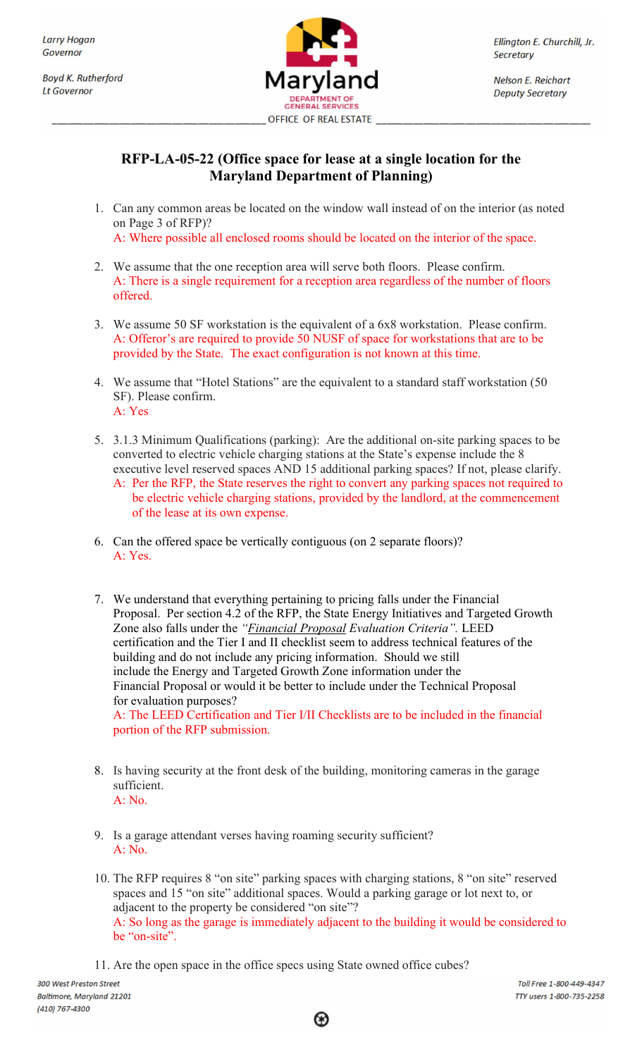**Boyd K. Rutherford It Governor** 



Ellington E. Churchill, Jr. **Secretary** 

**Nelson E. Reichart Deputy Secretary** 

## RFP-LA-05-22 (Office space for lease at a single location for the Maryland Department of Planning)

1. Can any common areas be located on the window wall instead of on the interior (as noted on Page 3 of RFP)?

A: Where possible all enclosed rooms should be located on the interior of the space.

- 2. We assume that the one reception area will serve both floors. Please confirm. A: There is a single requirement for a reception area regardless of the number of floors offered.
- 3. We assume 50 SF workstation is the equivalent of a 6x8 workstation. Please confirm. A: Offeror's are required to provide 50 NUSF of space for workstations that are to be provided by the State. The exact configuration is not known at this time.
- 4. We assume that "Hotel Stations" are the equivalent to a standard staff workstation (50 SF). Please confirm. A: Yes
- 5. 3.1.3 Minimum Qualifications (parking): Are the additional on-site parking spaces to be converted to electric vehicle charging stations at the State's expense include the 8 executive level reserved spaces AND 15 additional parking spaces? If not, please clarify.
	- A: Per the RFP, the State reserves the right to convert any parking spaces not required to be electric vehicle charging stations, provided by the landlord, at the commencement of the lease at its own expense.
- 6. Can the offered space be vertically contiguous (on 2 separate floors)? A: Yes.
- 7. We understand that everything pertaining to pricing falls under the Financial Proposal. Per section 4.2 of the RFP, the State Energy Initiatives and Targeted Growth Zone also falls under the "*Financial Proposal Evaluation Criteria*". LEED certification and the Tier I and II checklist seem to address technical features of the building and do not include any pricing information. Should we still include the Energy and Targeted Growth Zone information under the Financial Proposal or would it be better to include under the Technical Proposal for evaluation purposes? A: The LEED Certification and Tier I/II Checklists are to be included in the financial portion of the RFP submission.
- 8. Is having security at the front desk of the building, monitoring cameras in the garage sufficient. A: No.
- 9. Is a garage attendant verses having roaming security sufficient? A: No.
- 10. The RFP requires 8 "on site" parking spaces with charging stations, 8 "on site" reserved spaces and 15 "on site" additional spaces. Would a parking garage or lot next to, or adjacent to the property be considered "on site"? A: So long as the garage is immediately adjacent to the building it would be considered to be "on-site".
- 11. Are the open space in the office specs using State owned office cubes?

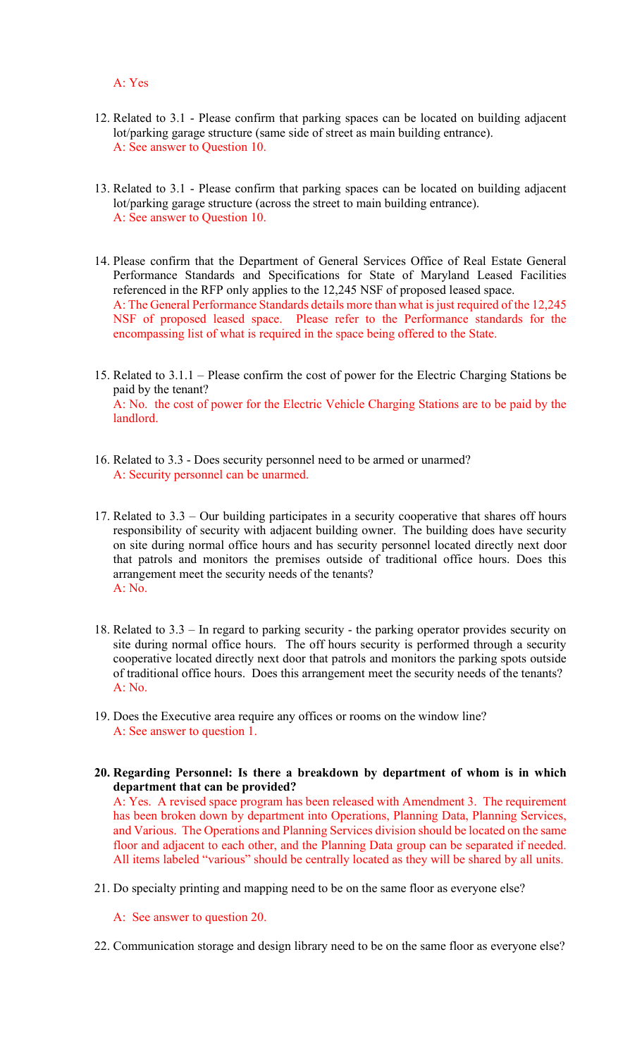## A: Yes

- 12. Related to 3.1 Please confirm that parking spaces can be located on building adjacent lot/parking garage structure (same side of street as main building entrance). A: See answer to Question 10.
- 13. Related to 3.1 Please confirm that parking spaces can be located on building adjacent lot/parking garage structure (across the street to main building entrance). A: See answer to Question 10.
- 14. Please confirm that the Department of General Services Office of Real Estate General Performance Standards and Specifications for State of Maryland Leased Facilities referenced in the RFP only applies to the 12,245 NSF of proposed leased space. A: The General Performance Standards details more than what is just required of the 12,245 NSF of proposed leased space. Please refer to the Performance standards for the encompassing list of what is required in the space being offered to the State.
- 15. Related to 3.1.1 Please confirm the cost of power for the Electric Charging Stations be paid by the tenant? A: No. the cost of power for the Electric Vehicle Charging Stations are to be paid by the landlord.
- 16. Related to 3.3 Does security personnel need to be armed or unarmed? A: Security personnel can be unarmed.
- 17. Related to 3.3 Our building participates in a security cooperative that shares off hours responsibility of security with adjacent building owner. The building does have security on site during normal office hours and has security personnel located directly next door that patrols and monitors the premises outside of traditional office hours. Does this arrangement meet the security needs of the tenants? A: No.
- 18. Related to 3.3 In regard to parking security the parking operator provides security on site during normal office hours. The off hours security is performed through a security cooperative located directly next door that patrols and monitors the parking spots outside of traditional office hours. Does this arrangement meet the security needs of the tenants? A: No.
- 19. Does the Executive area require any offices or rooms on the window line? A: See answer to question 1.
- 20. Regarding Personnel: Is there a breakdown by department of whom is in which department that can be provided? A: Yes. A revised space program has been released with Amendment 3. The requirement

has been broken down by department into Operations, Planning Data, Planning Services, and Various. The Operations and Planning Services division should be located on the same floor and adjacent to each other, and the Planning Data group can be separated if needed. All items labeled "various" should be centrally located as they will be shared by all units.

- 21. Do specialty printing and mapping need to be on the same floor as everyone else?
	- A: See answer to question 20.
- 22. Communication storage and design library need to be on the same floor as everyone else?